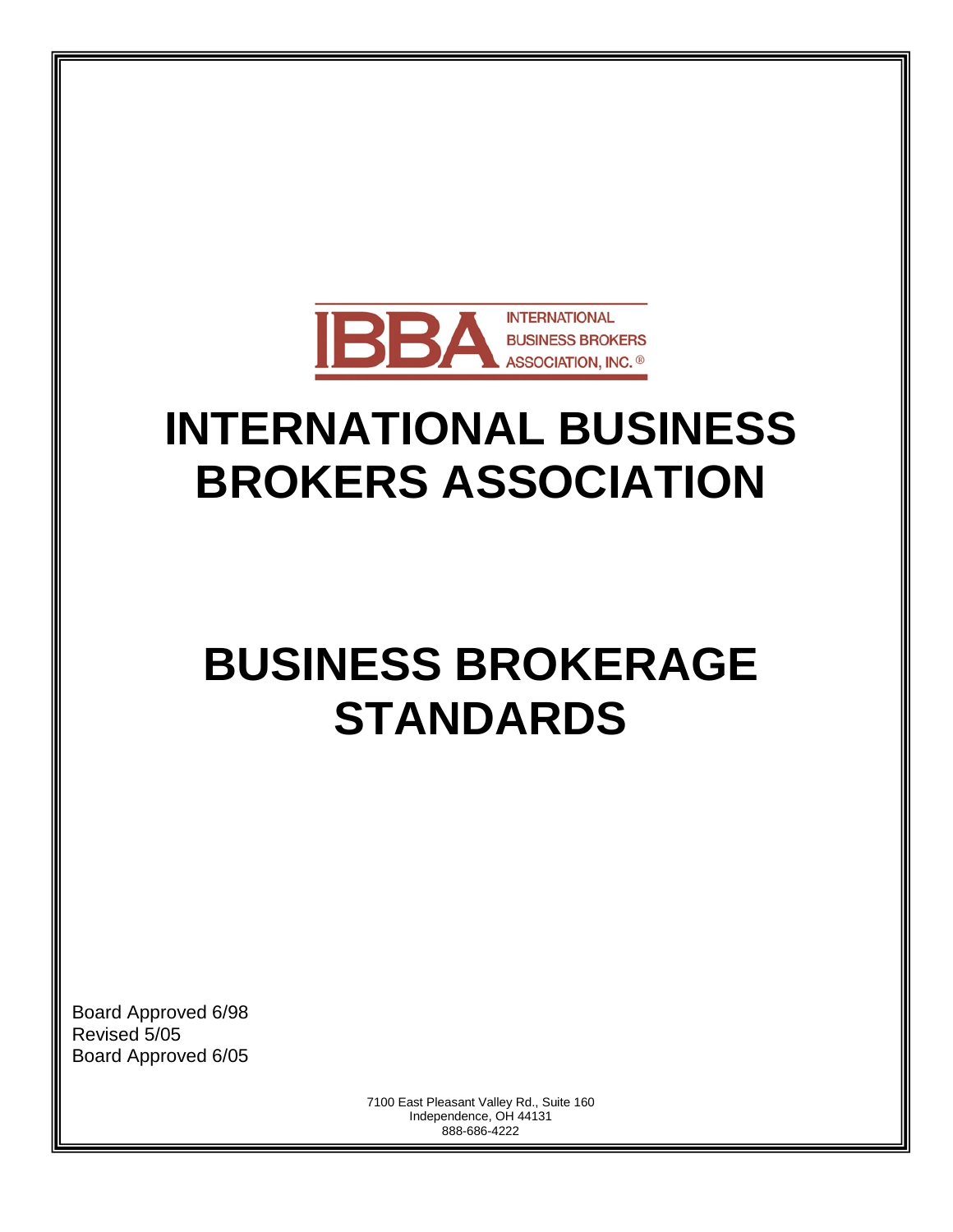

# **INTERNATIONAL BUSINESS BROKERS ASSOCIATION**

# **BUSINESS BROKERAGE STANDARDS**

Board Approved 6/98 Revised 5/05 Board Approved 6/05

> 7100 East Pleasant Valley Rd., Suite 160 Independence, OH 44131 888-686-4222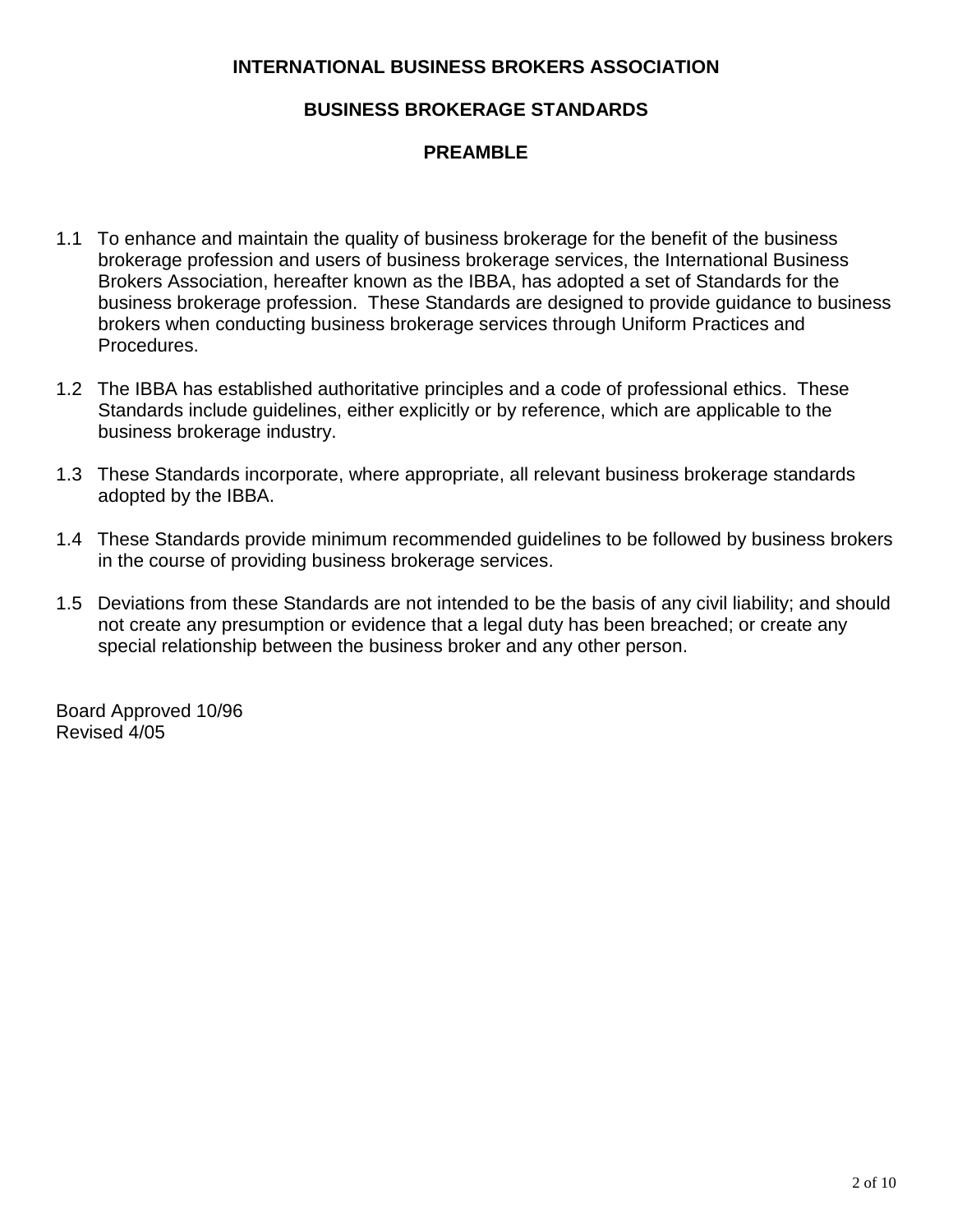# **INTERNATIONAL BUSINESS BROKERS ASSOCIATION**

# **BUSINESS BROKERAGE STANDARDS**

# **PREAMBLE**

- 1.1 To enhance and maintain the quality of business brokerage for the benefit of the business brokerage profession and users of business brokerage services, the International Business Brokers Association, hereafter known as the IBBA, has adopted a set of Standards for the business brokerage profession. These Standards are designed to provide guidance to business brokers when conducting business brokerage services through Uniform Practices and Procedures.
- 1.2 The IBBA has established authoritative principles and a code of professional ethics. These Standards include guidelines, either explicitly or by reference, which are applicable to the business brokerage industry.
- 1.3 These Standards incorporate, where appropriate, all relevant business brokerage standards adopted by the IBBA.
- 1.4 These Standards provide minimum recommended guidelines to be followed by business brokers in the course of providing business brokerage services.
- 1.5 Deviations from these Standards are not intended to be the basis of any civil liability; and should not create any presumption or evidence that a legal duty has been breached; or create any special relationship between the business broker and any other person.

Board Approved 10/96 Revised 4/05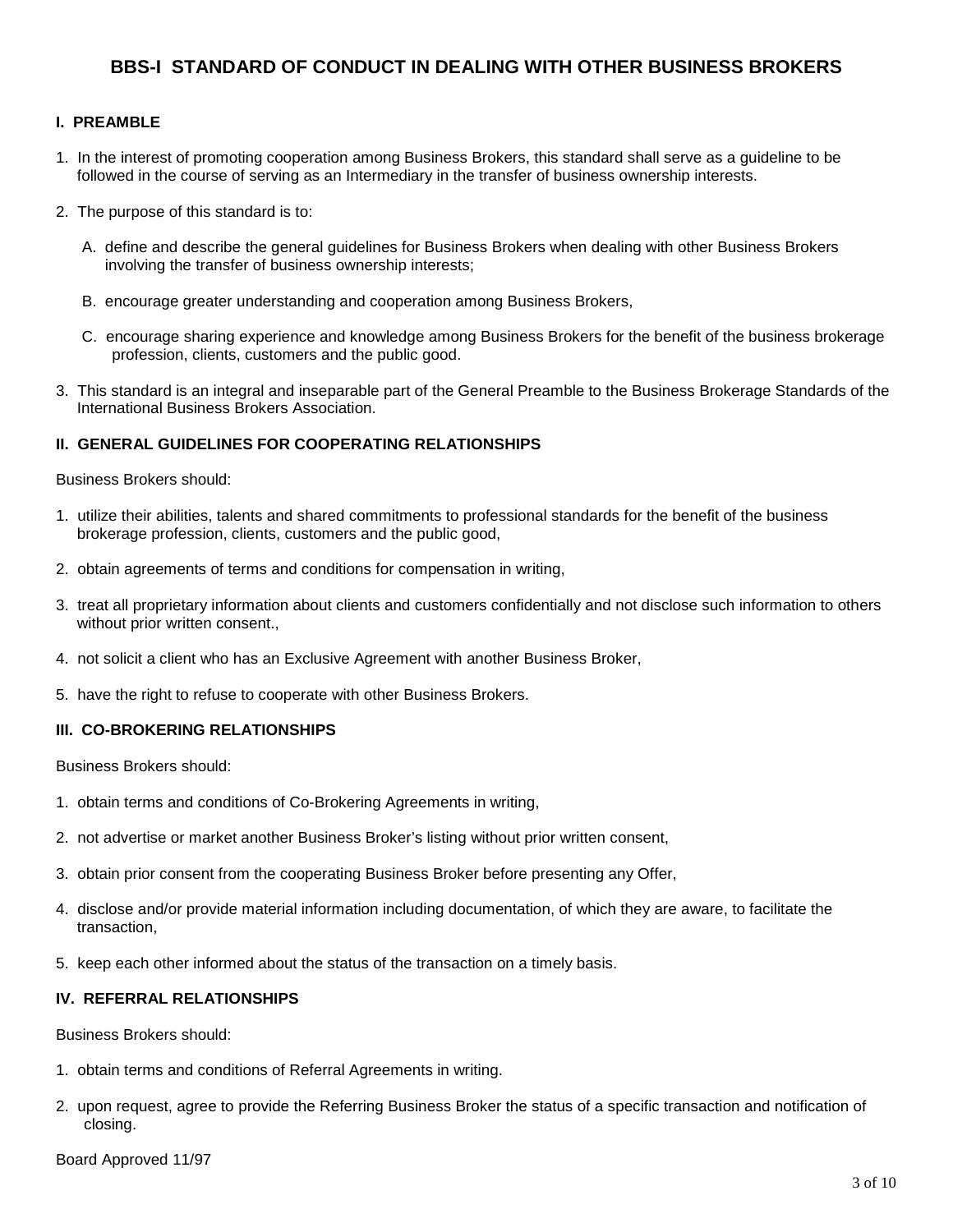## **BBS-I STANDARD OF CONDUCT IN DEALING WITH OTHER BUSINESS BROKERS**

#### **I. PREAMBLE**

- 1. In the interest of promoting cooperation among Business Brokers, this standard shall serve as a guideline to be followed in the course of serving as an Intermediary in the transfer of business ownership interests.
- 2. The purpose of this standard is to:
	- A. define and describe the general guidelines for Business Brokers when dealing with other Business Brokers involving the transfer of business ownership interests;
	- B. encourage greater understanding and cooperation among Business Brokers,
	- C. encourage sharing experience and knowledge among Business Brokers for the benefit of the business brokerage profession, clients, customers and the public good.
- 3. This standard is an integral and inseparable part of the General Preamble to the Business Brokerage Standards of the International Business Brokers Association.

#### **II. GENERAL GUIDELINES FOR COOPERATING RELATIONSHIPS**

Business Brokers should:

- 1. utilize their abilities, talents and shared commitments to professional standards for the benefit of the business brokerage profession, clients, customers and the public good,
- 2. obtain agreements of terms and conditions for compensation in writing,
- 3. treat all proprietary information about clients and customers confidentially and not disclose such information to others without prior written consent.,
- 4. not solicit a client who has an Exclusive Agreement with another Business Broker,
- 5. have the right to refuse to cooperate with other Business Brokers.

#### **III. CO-BROKERING RELATIONSHIPS**

Business Brokers should:

- 1. obtain terms and conditions of Co-Brokering Agreements in writing,
- 2. not advertise or market another Business Broker's listing without prior written consent,
- 3. obtain prior consent from the cooperating Business Broker before presenting any Offer,
- 4. disclose and/or provide material information including documentation, of which they are aware, to facilitate the transaction,
- 5. keep each other informed about the status of the transaction on a timely basis.

#### **IV. REFERRAL RELATIONSHIPS**

Business Brokers should:

- 1. obtain terms and conditions of Referral Agreements in writing.
- 2. upon request, agree to provide the Referring Business Broker the status of a specific transaction and notification of closing.

Board Approved 11/97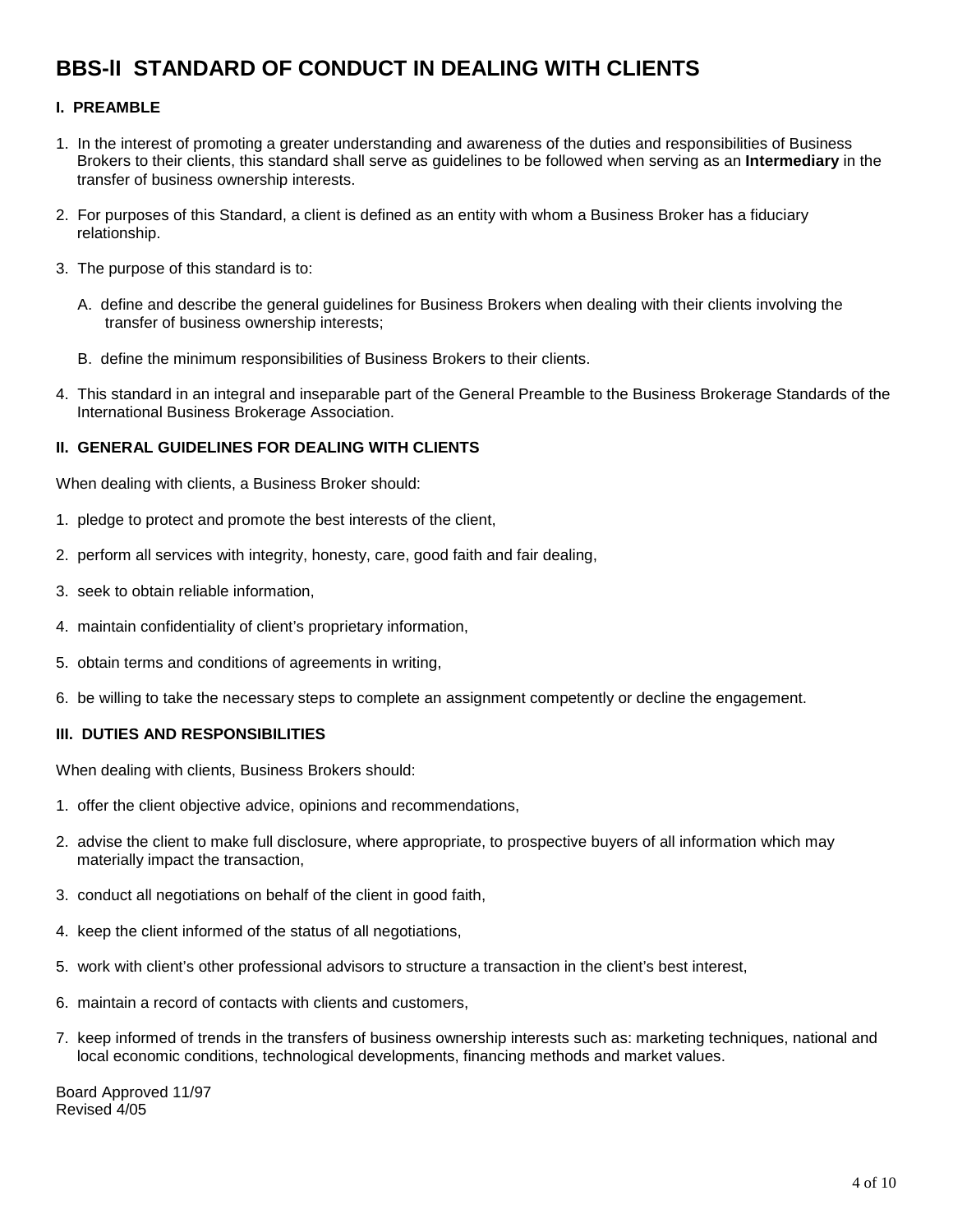# **BBS-lI STANDARD OF CONDUCT IN DEALING WITH CLIENTS**

#### **I. PREAMBLE**

- 1. In the interest of promoting a greater understanding and awareness of the duties and responsibilities of Business Brokers to their clients, this standard shall serve as guidelines to be followed when serving as an **Intermediary** in the transfer of business ownership interests.
- 2. For purposes of this Standard, a client is defined as an entity with whom a Business Broker has a fiduciary relationship.
- 3. The purpose of this standard is to:
	- A. define and describe the general guidelines for Business Brokers when dealing with their clients involving the transfer of business ownership interests;
	- B. define the minimum responsibilities of Business Brokers to their clients.
- 4. This standard in an integral and inseparable part of the General Preamble to the Business Brokerage Standards of the International Business Brokerage Association.

#### **II. GENERAL GUIDELINES FOR DEALING WITH CLIENTS**

When dealing with clients, a Business Broker should:

- 1. pledge to protect and promote the best interests of the client,
- 2. perform all services with integrity, honesty, care, good faith and fair dealing,
- 3. seek to obtain reliable information,
- 4. maintain confidentiality of client's proprietary information,
- 5. obtain terms and conditions of agreements in writing,
- 6. be willing to take the necessary steps to complete an assignment competently or decline the engagement.

#### **III. DUTIES AND RESPONSIBILITIES**

When dealing with clients, Business Brokers should:

- 1. offer the client objective advice, opinions and recommendations,
- 2. advise the client to make full disclosure, where appropriate, to prospective buyers of all information which may materially impact the transaction,
- 3. conduct all negotiations on behalf of the client in good faith,
- 4. keep the client informed of the status of all negotiations,
- 5. work with client's other professional advisors to structure a transaction in the client's best interest,
- 6. maintain a record of contacts with clients and customers,
- 7. keep informed of trends in the transfers of business ownership interests such as: marketing techniques, national and local economic conditions, technological developments, financing methods and market values.

Board Approved 11/97 Revised 4/05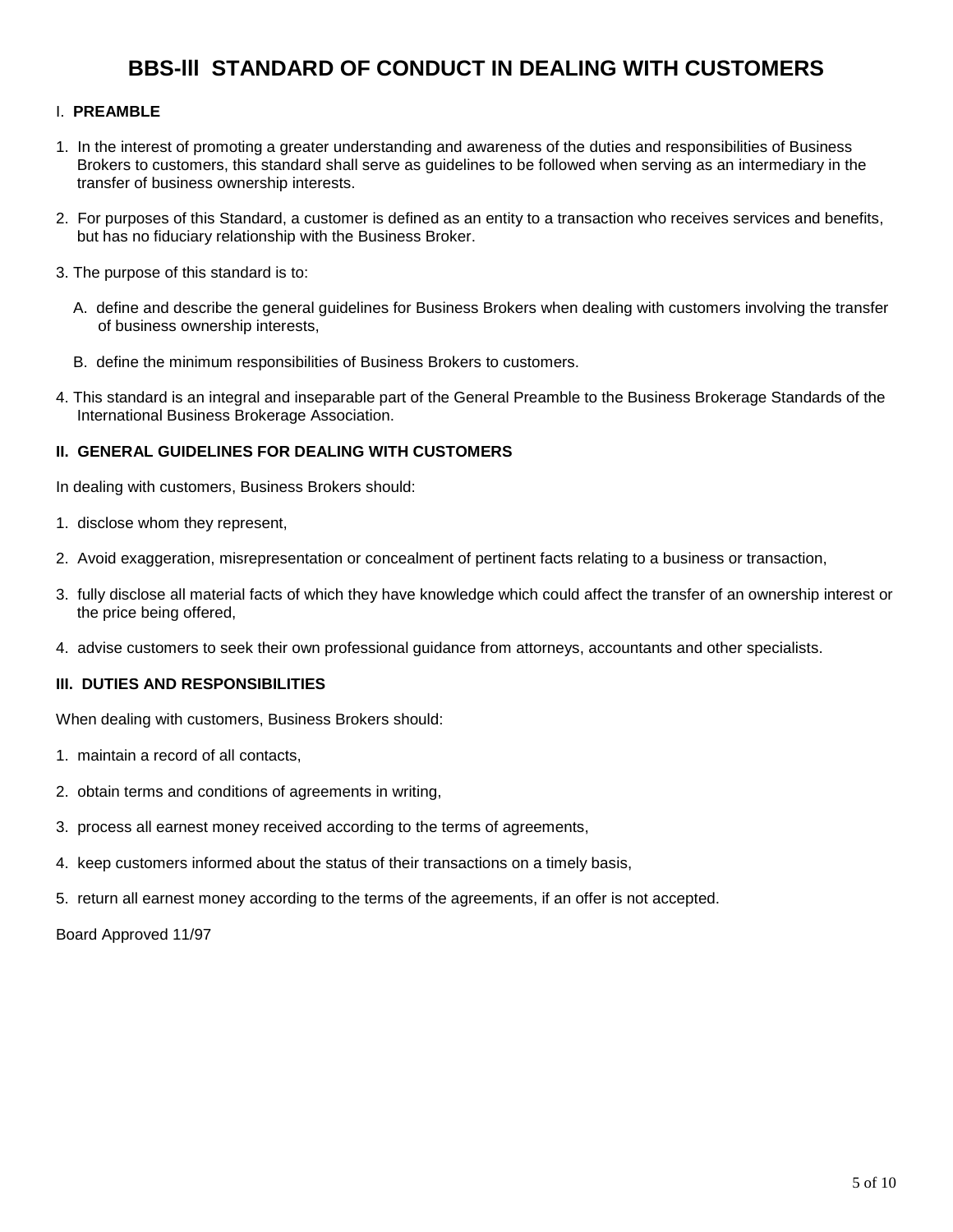# **BBS-lll STANDARD OF CONDUCT IN DEALING WITH CUSTOMERS**

#### I. **PREAMBLE**

- 1. In the interest of promoting a greater understanding and awareness of the duties and responsibilities of Business Brokers to customers, this standard shall serve as guidelines to be followed when serving as an intermediary in the transfer of business ownership interests.
- 2. For purposes of this Standard, a customer is defined as an entity to a transaction who receives services and benefits, but has no fiduciary relationship with the Business Broker.
- 3. The purpose of this standard is to:
	- A. define and describe the general guidelines for Business Brokers when dealing with customers involving the transfer of business ownership interests,
	- B. define the minimum responsibilities of Business Brokers to customers.
- 4. This standard is an integral and inseparable part of the General Preamble to the Business Brokerage Standards of the International Business Brokerage Association.

#### **II. GENERAL GUIDELINES FOR DEALING WITH CUSTOMERS**

In dealing with customers, Business Brokers should:

- 1. disclose whom they represent,
- 2. Avoid exaggeration, misrepresentation or concealment of pertinent facts relating to a business or transaction,
- 3. fully disclose all material facts of which they have knowledge which could affect the transfer of an ownership interest or the price being offered,
- 4. advise customers to seek their own professional guidance from attorneys, accountants and other specialists.

#### **III. DUTIES AND RESPONSIBILITIES**

When dealing with customers, Business Brokers should:

- 1. maintain a record of all contacts,
- 2. obtain terms and conditions of agreements in writing,
- 3. process all earnest money received according to the terms of agreements,
- 4. keep customers informed about the status of their transactions on a timely basis,
- 5. return all earnest money according to the terms of the agreements, if an offer is not accepted.

Board Approved 11/97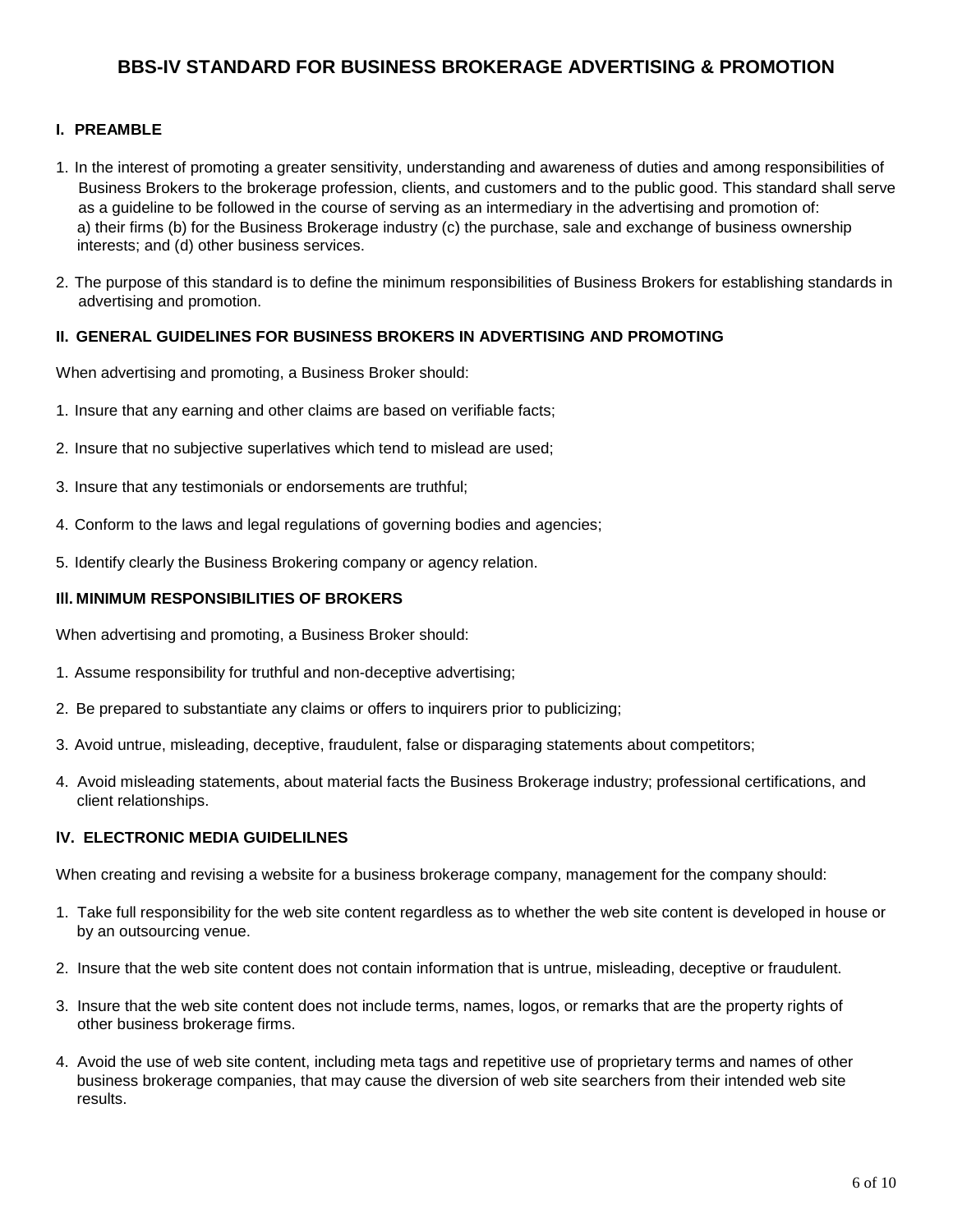## **BBS-IV STANDARD FOR BUSINESS BROKERAGE ADVERTISING & PROMOTION**

#### **I. PREAMBLE**

- 1. In the interest of promoting a greater sensitivity, understanding and awareness of duties and among responsibilities of Business Brokers to the brokerage profession, clients, and customers and to the public good. This standard shall serve as a guideline to be followed in the course of serving as an intermediary in the advertising and promotion of: a) their firms (b) for the Business Brokerage industry (c) the purchase, sale and exchange of business ownership interests; and (d) other business services.
- 2. The purpose of this standard is to define the minimum responsibilities of Business Brokers for establishing standards in advertising and promotion.

#### **II. GENERAL GUIDELINES FOR BUSINESS BROKERS IN ADVERTISING AND PROMOTING**

When advertising and promoting, a Business Broker should:

- 1. Insure that any earning and other claims are based on verifiable facts;
- 2. Insure that no subjective superlatives which tend to mislead are used;
- 3. Insure that any testimonials or endorsements are truthful;
- 4. Conform to the laws and legal regulations of governing bodies and agencies;
- 5. Identify clearly the Business Brokering company or agency relation.

#### **Ill. MINIMUM RESPONSIBILITIES OF BROKERS**

When advertising and promoting, a Business Broker should:

- 1. Assume responsibility for truthful and non-deceptive advertising;
- 2. Be prepared to substantiate any claims or offers to inquirers prior to publicizing;
- 3. Avoid untrue, misleading, deceptive, fraudulent, false or disparaging statements about competitors;
- 4. Avoid misleading statements, about material facts the Business Brokerage industry; professional certifications, and client relationships.

#### **lV. ELECTRONIC MEDIA GUIDELILNES**

When creating and revising a website for a business brokerage company, management for the company should:

- 1. Take full responsibility for the web site content regardless as to whether the web site content is developed in house or by an outsourcing venue.
- 2. Insure that the web site content does not contain information that is untrue, misleading, deceptive or fraudulent.
- 3. Insure that the web site content does not include terms, names, logos, or remarks that are the property rights of other business brokerage firms.
- 4. Avoid the use of web site content, including meta tags and repetitive use of proprietary terms and names of other business brokerage companies, that may cause the diversion of web site searchers from their intended web site results.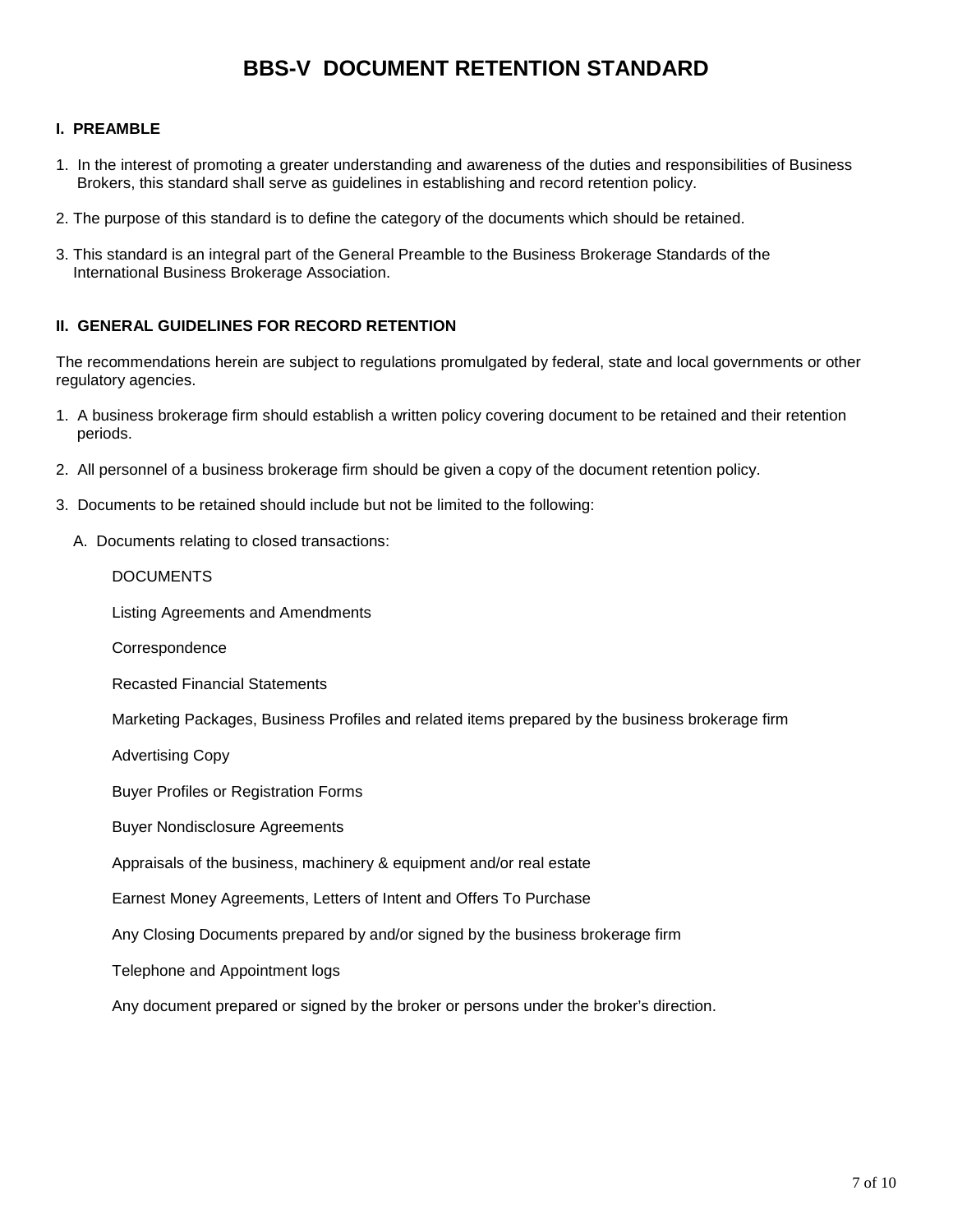# **BBS-V DOCUMENT RETENTION STANDARD**

#### **I. PREAMBLE**

- 1. In the interest of promoting a greater understanding and awareness of the duties and responsibilities of Business Brokers, this standard shall serve as guidelines in establishing and record retention policy.
- 2. The purpose of this standard is to define the category of the documents which should be retained.
- 3. This standard is an integral part of the General Preamble to the Business Brokerage Standards of the International Business Brokerage Association.

#### **II. GENERAL GUIDELINES FOR RECORD RETENTION**

The recommendations herein are subject to regulations promulgated by federal, state and local governments or other regulatory agencies.

- 1. A business brokerage firm should establish a written policy covering document to be retained and their retention periods.
- 2. All personnel of a business brokerage firm should be given a copy of the document retention policy.
- 3. Documents to be retained should include but not be limited to the following:
	- A. Documents relating to closed transactions:

#### DOCUMENTS

Listing Agreements and Amendments

**Correspondence** 

Recasted Financial Statements

Marketing Packages, Business Profiles and related items prepared by the business brokerage firm

Advertising Copy

Buyer Profiles or Registration Forms

Buyer Nondisclosure Agreements

Appraisals of the business, machinery & equipment and/or real estate

Earnest Money Agreements, Letters of Intent and Offers To Purchase

Any Closing Documents prepared by and/or signed by the business brokerage firm

Telephone and Appointment logs

Any document prepared or signed by the broker or persons under the broker's direction.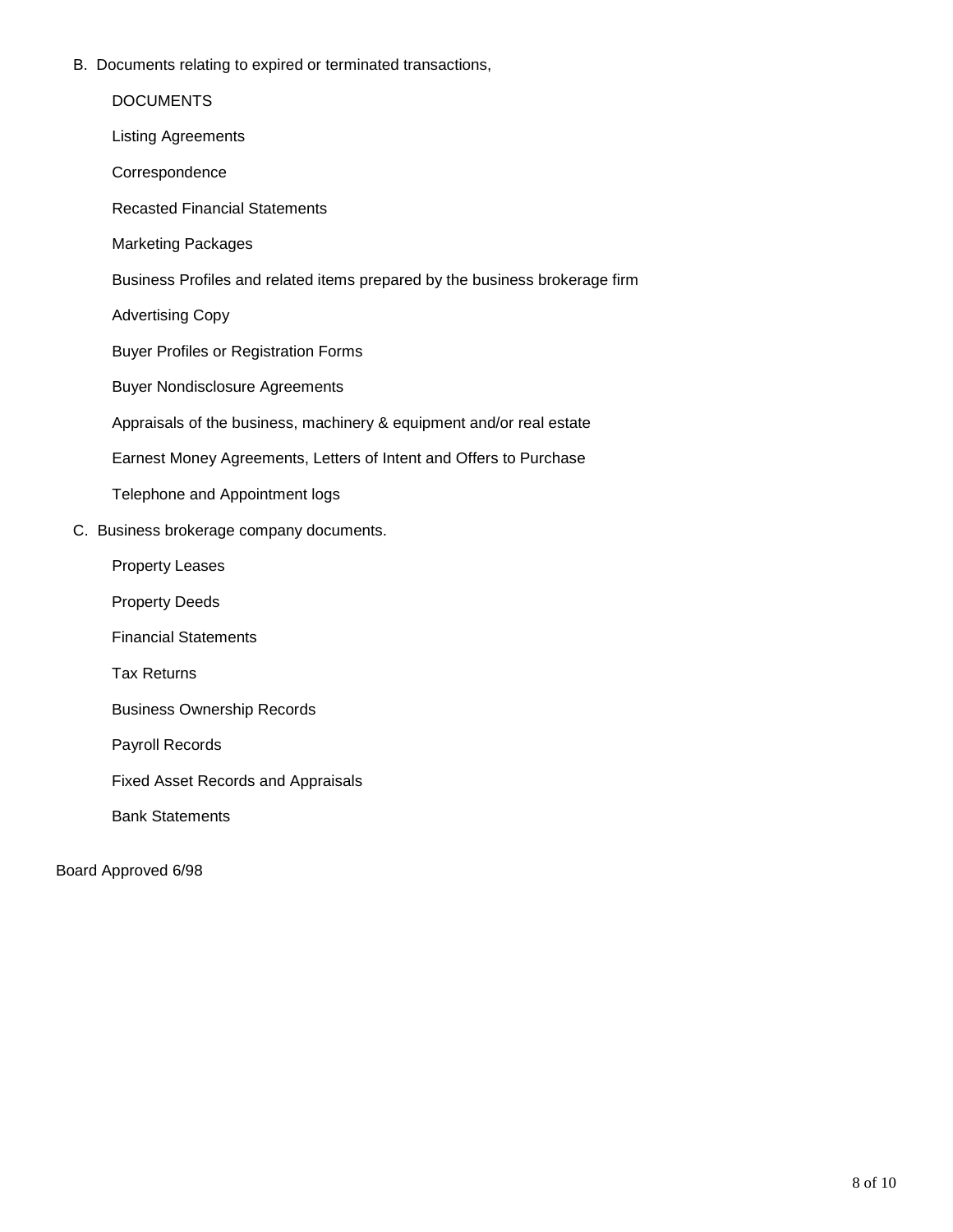B. Documents relating to expired or terminated transactions,

|  | <b>DOCUMENTS</b>                                                            |
|--|-----------------------------------------------------------------------------|
|  | <b>Listing Agreements</b>                                                   |
|  | Correspondence                                                              |
|  | <b>Recasted Financial Statements</b>                                        |
|  | <b>Marketing Packages</b>                                                   |
|  | Business Profiles and related items prepared by the business brokerage firm |
|  | <b>Advertising Copy</b>                                                     |
|  | <b>Buyer Profiles or Registration Forms</b>                                 |
|  | <b>Buyer Nondisclosure Agreements</b>                                       |
|  | Appraisals of the business, machinery & equipment and/or real estate        |
|  | Earnest Money Agreements, Letters of Intent and Offers to Purchase          |
|  | Telephone and Appointment logs                                              |
|  | C. Business brokerage company documents.                                    |
|  | <b>Property Leases</b>                                                      |
|  | <b>Property Deeds</b>                                                       |
|  | <b>Financial Statements</b>                                                 |
|  | <b>Tax Returns</b>                                                          |
|  | <b>Business Ownership Records</b>                                           |
|  | Payroll Records                                                             |
|  | <b>Fixed Asset Records and Appraisals</b>                                   |
|  | <b>Bank Statements</b>                                                      |

Board Approved 6/98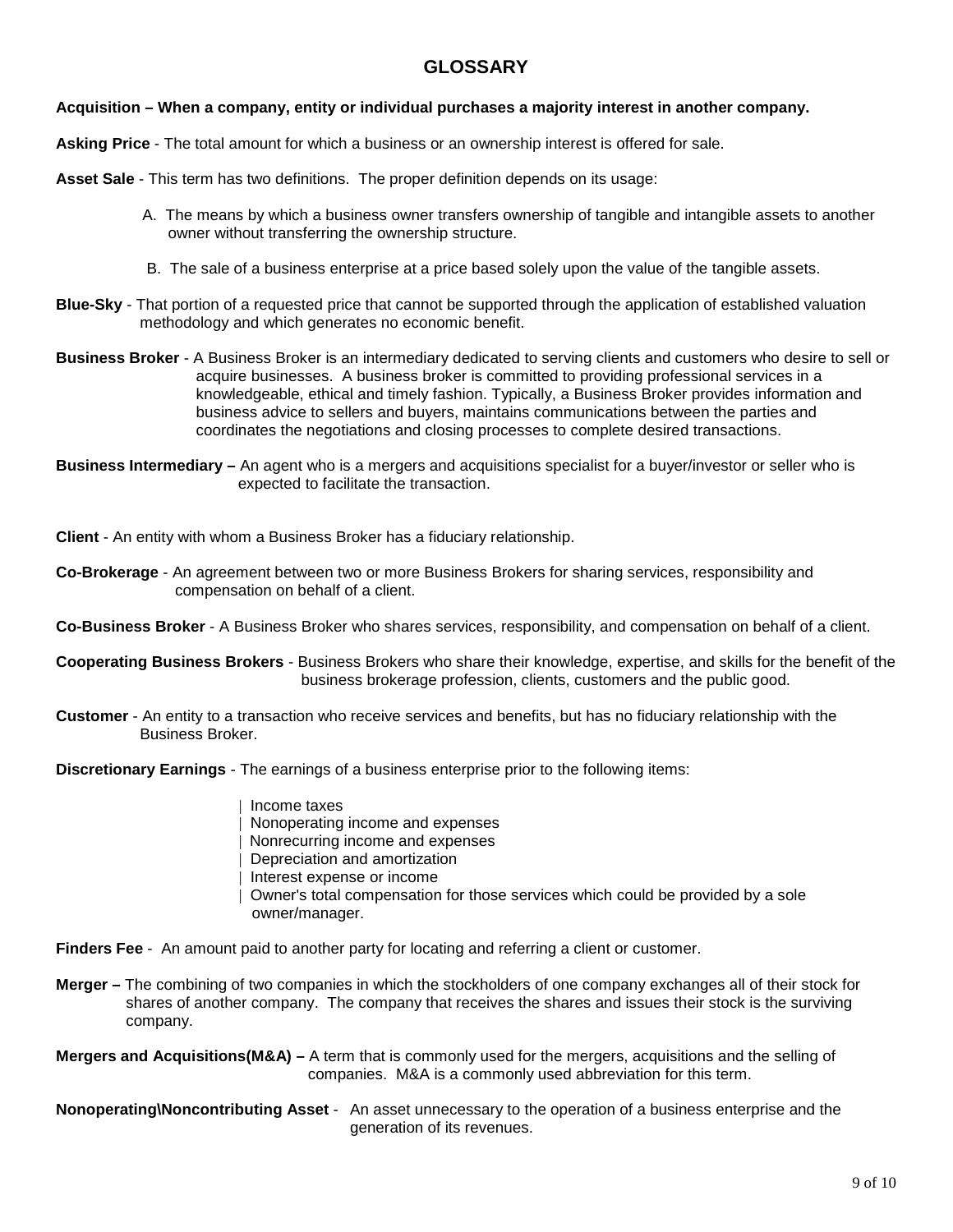## **GLOSSARY**

#### **Acquisition – When a company, entity or individual purchases a majority interest in another company.**

**Asking Price** - The total amount for which a business or an ownership interest is offered for sale.

**Asset Sale** - This term has two definitions. The proper definition depends on its usage:

- A. The means by which a business owner transfers ownership of tangible and intangible assets to another owner without transferring the ownership structure.
- B. The sale of a business enterprise at a price based solely upon the value of the tangible assets.
- **Blue-Sky** That portion of a requested price that cannot be supported through the application of established valuation methodology and which generates no economic benefit.
- **Business Broker** A Business Broker is an intermediary dedicated to serving clients and customers who desire to sell or acquire businesses. A business broker is committed to providing professional services in a knowledgeable, ethical and timely fashion. Typically, a Business Broker provides information and business advice to sellers and buyers, maintains communications between the parties and coordinates the negotiations and closing processes to complete desired transactions.
- **Business Intermediary –** An agent who is a mergers and acquisitions specialist for a buyer/investor or seller who is expected to facilitate the transaction.

**Client** - An entity with whom a Business Broker has a fiduciary relationship.

**Co-Brokerage** - An agreement between two or more Business Brokers for sharing services, responsibility and compensation on behalf of a client.

**Co-Business Broker** - A Business Broker who shares services, responsibility, and compensation on behalf of a client.

**Cooperating Business Brokers** - Business Brokers who share their knowledge, expertise, and skills for the benefit of the business brokerage profession, clients, customers and the public good.

**Customer** - An entity to a transaction who receive services and benefits, but has no fiduciary relationship with the Business Broker.

**Discretionary Earnings** - The earnings of a business enterprise prior to the following items:

- | Income taxes
- | Nonoperating income and expenses
- | Nonrecurring income and expenses
- | Depreciation and amortization
- | Interest expense or income
- | Owner's total compensation for those services which could be provided by a sole owner/manager.
- **Finders Fee** An amount paid to another party for locating and referring a client or customer.
- **Merger –** The combining of two companies in which the stockholders of one company exchanges all of their stock for shares of another company. The company that receives the shares and issues their stock is the surviving company.

**Mergers and Acquisitions(M&A) –** A term that is commonly used for the mergers, acquisitions and the selling of companies. M&A is a commonly used abbreviation for this term.

**Nonoperating\Noncontributing Asset** - An asset unnecessary to the operation of a business enterprise and the generation of its revenues.